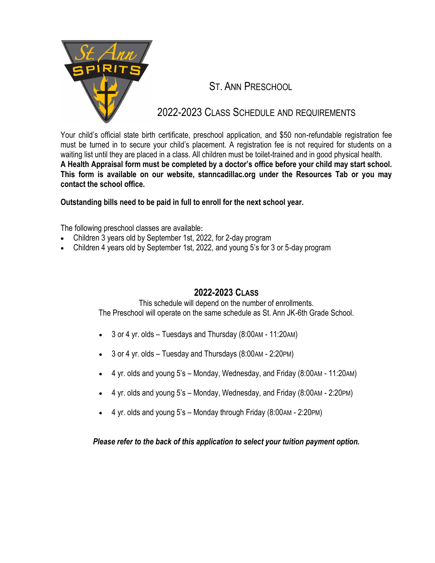

# ST. ANN PRESCHOOL

# 2022-2023 CLASS SCHEDULE AND REQUIREMENTS

Your child's official state birth certificate, preschool application, and \$50 non-refundable registration fee must be turned in to secure your child's placement. A registration fee is not required for students on a waiting list until they are placed in a class. All children must be toilet-trained and in good physical health. **A Health Appraisal form must be completed by a doctor's office before your child may start school. This form is available on our website, stanncadillac.org under the Resources Tab or you may contact the school office.** 

**Outstanding bills need to be paid in full to enroll for the next school year.**

The following preschool classes are available**:**

- Children 3 years old by September 1st, 2022, for 2-day program
- Children 4 years old by September 1st, 2022, and young 5's for 3 or 5-day program

## **2022-2023 CLASS**

This schedule will depend on the number of enrollments. The Preschool will operate on the same schedule as St. Ann JK-6th Grade School.

- 3 or 4 yr. olds Tuesdays and Thursday (8:00AM 11:20AM)
- 3 or 4 yr. olds Tuesday and Thursdays (8:00AM 2:20PM)
- 4 yr. olds and young 5's Monday, Wednesday, and Friday (8:00AM 11:20AM)
- 4 yr. olds and young 5's Monday, Wednesday, and Friday (8:00AM 2:20PM)
- $\bullet$  4 yr. olds and young 5's Monday through Friday (8:00 AM 2:20 PM)

*Please refer to the back of this application to select your tuition payment option.*